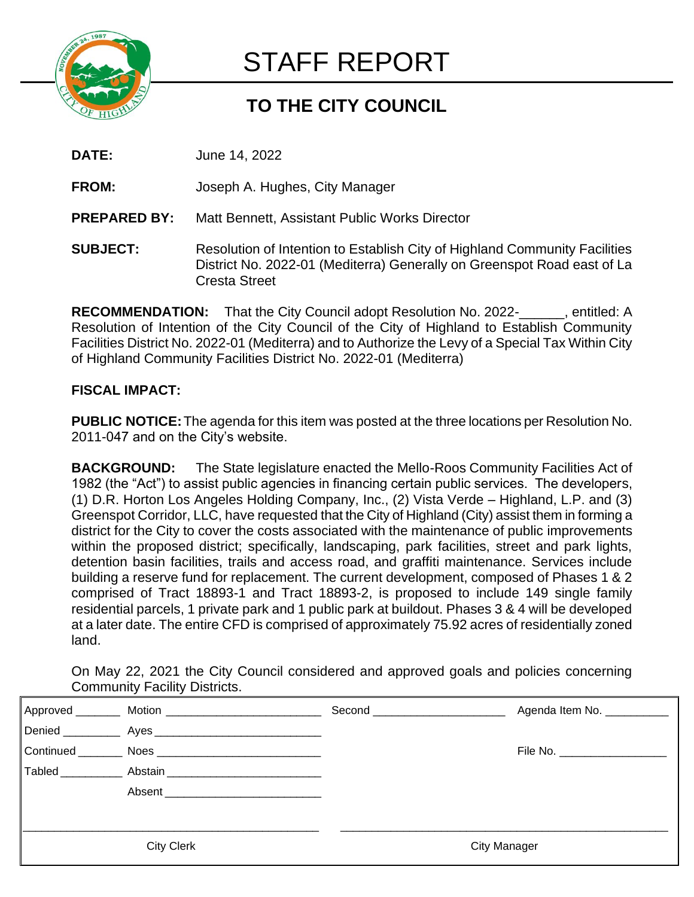

# STAFF REPORT

# **TO THE CITY COUNCIL**

- **DATE:** June 14, 2022
- **FROM:** Joseph A. Hughes, City Manager
- **PREPARED BY:** Matt Bennett, Assistant Public Works Director
- **SUBJECT:** Resolution of Intention to Establish City of Highland Community Facilities District No. 2022-01 (Mediterra) Generally on Greenspot Road east of La Cresta Street

**RECOMMENDATION:** That the City Council adopt Resolution No. 2022-\_\_\_\_\_\_, entitled: A Resolution of Intention of the City Council of the City of Highland to Establish Community Facilities District No. 2022-01 (Mediterra) and to Authorize the Levy of a Special Tax Within City of Highland Community Facilities District No. 2022-01 (Mediterra)

## **FISCAL IMPACT:**

**PUBLIC NOTICE:**The agenda for this item was posted at the three locations per Resolution No. 2011-047 and on the City's website.

**BACKGROUND:** The State legislature enacted the Mello-Roos Community Facilities Act of 1982 (the "Act") to assist public agencies in financing certain public services. The developers, (1) D.R. Horton Los Angeles Holding Company, Inc., (2) Vista Verde – Highland, L.P. and (3) Greenspot Corridor, LLC, have requested that the City of Highland (City) assist them in forming a district for the City to cover the costs associated with the maintenance of public improvements within the proposed district; specifically, landscaping, park facilities, street and park lights, detention basin facilities, trails and access road, and graffiti maintenance. Services include building a reserve fund for replacement. The current development, composed of Phases 1 & 2 comprised of Tract 18893-1 and Tract 18893-2, is proposed to include 149 single family residential parcels, 1 private park and 1 public park at buildout. Phases 3 & 4 will be developed at a later date. The entire CFD is comprised of approximately 75.92 acres of residentially zoned land.

On May 22, 2021 the City Council considered and approved goals and policies concerning Community Facility Districts.

| Approved                   | Motion _______________________ | Second <b>Second Second</b> | Agenda Item No. ___________ |
|----------------------------|--------------------------------|-----------------------------|-----------------------------|
| Denied _____________ Ayes_ |                                |                             |                             |
| Continued                  | <b>Noes</b>                    |                             | File No. ________________   |
| Tabled                     | Abstain                        |                             |                             |
|                            | Absent                         |                             |                             |
|                            |                                |                             |                             |
|                            |                                |                             |                             |
| <b>City Clerk</b>          |                                | <b>City Manager</b>         |                             |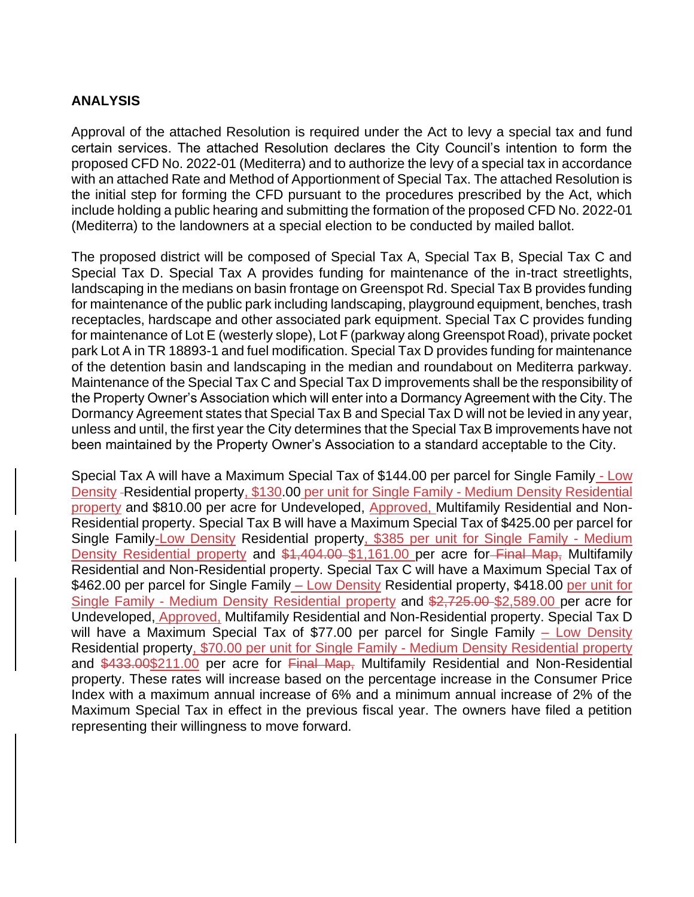#### **ANALYSIS**

Approval of the attached Resolution is required under the Act to levy a special tax and fund certain services. The attached Resolution declares the City Council's intention to form the proposed CFD No. 2022-01 (Mediterra) and to authorize the levy of a special tax in accordance with an attached Rate and Method of Apportionment of Special Tax. The attached Resolution is the initial step for forming the CFD pursuant to the procedures prescribed by the Act, which include holding a public hearing and submitting the formation of the proposed CFD No. 2022-01 (Mediterra) to the landowners at a special election to be conducted by mailed ballot.

The proposed district will be composed of Special Tax A, Special Tax B, Special Tax C and Special Tax D. Special Tax A provides funding for maintenance of the in-tract streetlights, landscaping in the medians on basin frontage on Greenspot Rd. Special Tax B provides funding for maintenance of the public park including landscaping, playground equipment, benches, trash receptacles, hardscape and other associated park equipment. Special Tax C provides funding for maintenance of Lot E (westerly slope), Lot F (parkway along Greenspot Road), private pocket park Lot A in TR 18893-1 and fuel modification. Special Tax D provides funding for maintenance of the detention basin and landscaping in the median and roundabout on Mediterra parkway. Maintenance of the Special Tax C and Special Tax D improvements shall be the responsibility of the Property Owner's Association which will enter into a Dormancy Agreement with the City. The Dormancy Agreement states that Special Tax B and Special Tax D will not be levied in any year, unless and until, the first year the City determines that the Special Tax B improvements have not been maintained by the Property Owner's Association to a standard acceptable to the City.

Special Tax A will have a Maximum Special Tax of \$144.00 per parcel for Single Family - Low Density - Residential property, \$130.00 per unit for Single Family - Medium Density Residential property and \$810.00 per acre for Undeveloped, Approved, Multifamily Residential and Non-Residential property. Special Tax B will have a Maximum Special Tax of \$425.00 per parcel for Single Family-Low Density Residential property, \$385 per unit for Single Family - Medium Density Residential property and \$1,404.00 \$1,161.00 per acre for-Final Map, Multifamily Residential and Non-Residential property. Special Tax C will have a Maximum Special Tax of \$462.00 per parcel for Single Family - Low Density Residential property, \$418.00 per unit for Single Family - Medium Density Residential property and \$2,725.00 \$2,589.00 per acre for Undeveloped, Approved, Multifamily Residential and Non-Residential property. Special Tax D will have a Maximum Special Tax of \$77.00 per parcel for Single Family – Low Density Residential property, \$70.00 per unit for Single Family - Medium Density Residential property and \$433.00\$211.00 per acre for Final Map, Multifamily Residential and Non-Residential property. These rates will increase based on the percentage increase in the Consumer Price Index with a maximum annual increase of 6% and a minimum annual increase of 2% of the Maximum Special Tax in effect in the previous fiscal year. The owners have filed a petition representing their willingness to move forward.